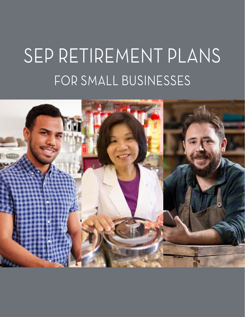# SEP RETIREMENT PLANS FOR SMALL BUSINESSES

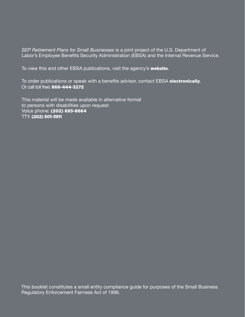*SEP Retirement Plans for Small Businesses* is a joint project of the U.S. Department of Labor's Employee Benefits Security Administration (EBSA) and the Internal Revenue Service.

To view this and other EBSA publications, visit the agency's [website](https://www.dol.gov/agencies/ebsa/about-ebsa/our-activities/resource-center/publications).

To order publications or speak with a benefits advisor, contact EBSA [electronically](https://www.askebsa.dol.gov). Or call toll free: 866-444-3272

This material will be made available in alternative format to persons with disabilities upon request: Voice phone: (202) 693-8664 TTY: (202) 501-3911

This booklet constitutes a small entity compliance guide for purposes of the Small Business Regulatory Enforcement Fairness Act of 1996.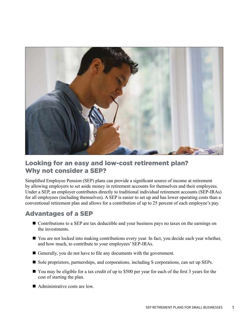

# Looking for an easy and low-cost retirement plan? Why not consider a SEP?

Simplified Employee Pension (SEP) plans can provide a significant source of income at retirement by allowing employers to set aside money in retirement accounts for themselves and their employees. Under a SEP, an employer contributes directly to traditional individual retirement accounts (SEP-IRAs) for all employees (including themselves). A SEP is easier to set up and has lower operating costs than a conventional retirement plan and allows for a contribution of up to 25 percent of each employee's pay.

# Advantages of a SEP

- Contributions to a SEP are tax deductible and your business pays no taxes on the earnings on the investments.
- $\blacksquare$  You are not locked into making contributions every year. In fact, you decide each year whether, and how much, to contribute to your employees' SEP-IRAs.
- Generally, you do not have to file any documents with the government.
- Sole proprietors, partnerships, and corporations, including S corporations, can set up SEPs.
- You may be eligible for a tax credit of up to \$500 per year for each of the first 3 years for the cost of starting the plan.
- $\blacksquare$  Administrative costs are low.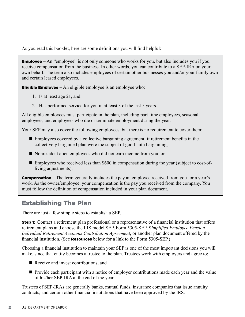As you read this booklet, here are some definitions you will find helpful:

**Employee** – An "employee" is not only someone who works for you, but also includes you if you receive compensation from the business. In other words, you can contribute to a SEP-IRA on your own behalf. The term also includes employees of certain other businesses you and/or your family own and certain leased employees.

**Eligible Employee** – An eligible employee is an employee who:

- 1. Is at least age 21, and
- 2. Has performed service for you in at least 3 of the last 5 years.

All eligible employees must participate in the plan, including part-time employees, seasonal employees, and employees who die or terminate employment during the year.

Your SEP may also cover the following employees, but there is no requirement to cover them:

- $\blacksquare$  Employees covered by a collective bargaining agreement, if retirement benefits in the collectively bargained plan were the subject of good faith bargaining;
- Nonresident alien employees who did not earn income from you; or
- $\blacksquare$  Employees who received less than \$600 in compensation during the year (subject to cost-ofliving adjustments).

**Compensation** – The term generally includes the pay an employee received from you for a year's work. As the owner/employee, your compensation is the pay you received from the company. You must follow the definition of compensation included in your plan document.

# Establishing The Plan

There are just a few simple steps to establish a SEP.

**Step 1:** Contact a retirement plan professional or a representative of a financial institution that offers retirement plans and choose the IRS model SEP, Form 5305-SEP, S*implified Employee Pension – Individual Retirement Accounts Contribution Agreement*, or another plan document offered by the financial institution. (See **Resources** below for a link to the Form 5305-SEP.)

Choosing a financial institution to maintain your SEP is one of the most important decisions you will make, since that entity becomes a trustee to the plan. Trustees work with employers and agree to:

- $\blacksquare$  Receive and invest contributions, and
- Provide each participant with a notice of employer contributions made each year and the value of his/her SEP-IRA at the end of the year.

Trustees of SEP-IRAs are generally banks, mutual funds, insurance companies that issue annuity contracts, and certain other financial institutions that have been approved by the IRS.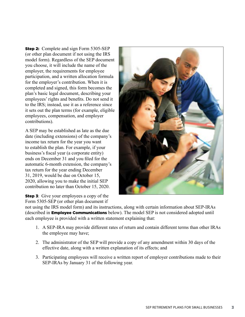**Step 2:** Complete and sign Form 5305-SEP (or other plan document if not using the IRS model form). Regardless of the SEP document you choose, it will include the name of the employer, the requirements for employee participation, and a written allocation formula for the employer's contribution. When it is completed and signed, this form becomes the plan's basic legal document, describing your employees' rights and benefits. Do not send it to the IRS; instead, use it as a reference since it sets out the plan terms (for example, eligible employees, compensation, and employer contributions).

A SEP may be established as late as the due date (including extensions) of the company's income tax return for the year you want to establish the plan. For example, if your business's fiscal year (a corporate entity) ends on December 31 and you filed for the automatic 6-month extension, the company's tax return for the year ending December 31, 2019, would be due on October 15, 2020, allowing you to make the initial SEP contribution no later than October 15, 2020.

**Step 3:** Give your employees a copy of the Form 5305-SEP (or other plan document if



not using the IRS model form) and its instructions, along with certain information about SEP-IRAs (described in Employee Communications below). The model SEP is not considered adopted until each employee is provided with a written statement explaining that:

- 1. A SEP-IRA may provide different rates of return and contain different terms than other IRAs the employee may have;
- 2. The administrator of the SEP will provide a copy of any amendment within 30 days of the effective date, along with a written explanation of its effects; and
- 3. Participating employees will receive a written report of employer contributions made to their SEP-IRAs by January 31 of the following year.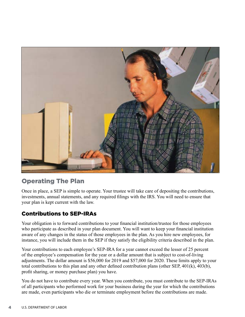

# Operating The Plan

Once in place, a SEP is simple to operate. Your trustee will take care of depositing the contributions, investments, annual statements, and any required filings with the IRS. You will need to ensure that your plan is kept current with the law.

## Contributions to SEP-IRAs

Your obligation is to forward contributions to your financial institution/trustee for those employees who participate as described in your plan document. You will want to keep your financial institution aware of any changes in the status of those employees in the plan. As you hire new employees, for instance, you will include them in the SEP if they satisfy the eligibility criteria described in the plan.

Your contributions to each employee's SEP-IRA for a year cannot exceed the lesser of 25 percent of the employee's compensation for the year or a dollar amount that is subject to cost-of-living adjustments. The dollar amount is \$56,000 for 2019 and \$57,000 for 2020. These limits apply to your total contributions to this plan and any other defined contribution plans (other SEP, 401(k), 403(b), profit sharing, or money purchase plan) you have.

You do not have to contribute every year. When you contribute, you must contribute to the SEP-IRAs of all participants who performed work for your business during the year for which the contributions are made, even participants who die or terminate employment before the contributions are made.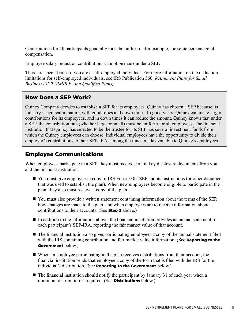Contributions for all participants generally must be uniform – for example, the same percentage of compensation.

Employee salary reduction contributions cannot be made under a SEP.

There are special rules if you are a self-employed individual. For more information on the deduction limitations for self-employed individuals, see IRS Publication 560, *Retirement Plans for Small Business (SEP, SIMPLE, and Qualified Plans)*.

## How Does a SEP Work?

Quincy Company decides to establish a SEP for its employees. Quincy has chosen a SEP because its industry is cyclical in nature, with good times and down times. In good years, Quincy can make larger contributions for its employees, and in down times it can reduce the amount. Quincy knows that under a SEP, the contribution rate (whether large or small) must be uniform for all employees. The financial institution that Quincy has selected to be the trustee for its SEP has several investment funds from which the Quincy employees can choose. Individual employees have the opportunity to divide their employer's contributions to their SEP-IRAs among the funds made available to Quincy's employees.

## Employee Communications

When employees participate in a SEP, they must receive certain key disclosure documents from you and the financial institution:

- You must give employees a copy of IRS Form 5305-SEP and its instructions (or other document that was used to establish the plan). When new employees become eligible to participate in the plan, they also must receive a copy of the plan.
- $\blacksquare$  You must also provide a written statement containing information about the terms of the SEP, how changes are made to the plan, and when employees are to receive information about contributions to their accounts. (See Step 3 above.)
- n In addition to the information above, the financial institution provides an annual statement for each participant's SEP-IRA, reporting the fair market value of that account.
- $\blacksquare$  The financial institution also gives participating employees a copy of the annual statement filed with the IRS containing contribution and fair market value information. (See Reporting to the Government below.)
- n When an employee participating in the plan receives distributions from their account, the financial institution sends that employee a copy of the form that is filed with the IRS for the individual's distribution. (See **Reporting to the Government** below.)
- $\blacksquare$  The financial institution should notify the participant by January 31 of each year when a minimum distribution is required. (See **Distributions** below.)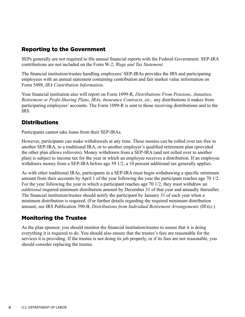## Reporting to the Government

SEPs generally are not required to file annual financial reports with the Federal Government. SEP-IRA contributions are not included on the Form W-2, *Wage and Tax Statement.*

The financial institution/trustee handling employees' SEP-IRAs provides the IRS and participating employees with an annual statement containing contribution and fair market value information on Form 5498, *IRA Contribution Information*.

Your financial institution also will report on Form 1099-R, *Distributions From Pensions, Annuities, Retirement or Profit-Sharing Plans, IRAs, Insurance Contracts, etc.,* any distributions it makes from participating employees' accounts. The Form 1099-R is sent to those receiving distributions and to the IRS.

## **Distributions**

Participants cannot take loans from their SEP-IRAs.

However, participants can make withdrawals at any time. These monies can be rolled over tax-free to another SEP-IRA, to a traditional IRA, or to another employer's qualified retirement plan (provided the other plan allows rollovers). Money withdrawn from a SEP-IRA (and not rolled over to another plan) is subject to income tax for the year in which an employee receives a distribution. If an employee withdraws money from a SEP-IRA before age 59 1/2, a 10 percent additional tax generally applies.

As with other traditional IRAs, participants in a SEP-IRA must begin withdrawing a specific minimum amount from their accounts by April 1 of the year following the year the participant reaches age 70 1/2. For the year following the year in which a participant reaches age 70 1/2, they must withdraw an *additional* required minimum distribution amount by December 31 of that year and annually thereafter. The financial institution/trustee should notify the participant by January 31 of each year when a minimum distribution is required. (For further details regarding the required minimum distribution amount, see IRS Publication 590-B, *Distributions from Individual Retirement Arrangements (IRAs)*.)

## Monitoring the Trustee

As the plan sponsor, you should monitor the financial institution/trustee to assure that it is doing everything it is required to do. You should also ensure that the trustee's fees are reasonable for the services it is providing. If the trustee is not doing its job properly, or if its fees are not reasonable, you should consider replacing the trustee.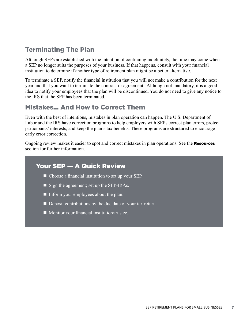# Terminating The Plan

Although SEPs are established with the intention of continuing indefinitely, the time may come when a SEP no longer suits the purposes of your business. If that happens, consult with your financial institution to determine if another type of retirement plan might be a better alternative.

To terminate a SEP, notify the financial institution that you will not make a contribution for the next year and that you want to terminate the contract or agreement. Although not mandatory, it is a good idea to notify your employees that the plan will be discontinued. You do not need to give any notice to the IRS that the SEP has been terminated.

# Mistakes… And How to Correct Them

Even with the best of intentions, mistakes in plan operation can happen. The U.S. Department of Labor and the IRS have correction programs to help employers with SEPs correct plan errors, protect participants' interests, and keep the plan's tax benefits. These programs are structured to encourage early error correction.

Ongoing review makes it easier to spot and correct mistakes in plan operations. See the **Resources** section for further information.

## Your SEP — A Quick Review

- $\blacksquare$  Choose a financial institution to set up your SEP.
- $\blacksquare$  Sign the agreement; set up the SEP-IRAs.
- $\blacksquare$  Inform your employees about the plan.
- $\blacksquare$  Deposit contributions by the due date of your tax return.
- $\blacksquare$  Monitor your financial institution/trustee.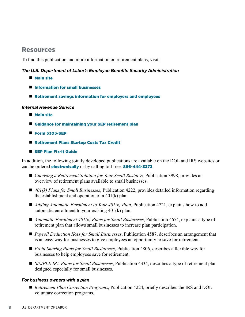## Resources

To find this publication and more information on retirement plans, visit:

#### *The U.S. Department of Labor's Employee Benefits Security Administration*

- **Nain site**
- **n** [Information for small businesses](https://www.dol.gov/agencies/ebsa/employers-and-advisers/small-business)
- $\blacksquare$  [Retirement savings information for employers and employees](https://www.savingmatters.dol.gov)

#### *Internal Revenue Service*

- **Nain site**
- $\blacksquare$  [Guidance for maintaining your SEP retirement plan](http://www.IRS.gov/retirement-plans/plan-sponsor/small-business-retirement-plan-resources)
- $Form 5305-SEP$
- [Retirement Plans Startup Costs Tax Credit](http://www.IRS.gov/retirement-plans/retirement-plans-startup-costs-tax-credit)
- **N** [SEP Plan Fix-It Guide](http://www.IRS.gov/retirement-plans/sep-fix-it-guide-common-problems-real-solutions)

In addition, the following jointly developed publications are available on the DOL and IRS websites or can be ordered **[electronically](https://www.askebsa.dol.gov)** or by calling toll free: **866-444-3272**.

- *Choosing a Retirement Solution for Your Small Business*, Publication 3998, provides an overview of retirement plans available to small businesses.
- 401(k) Plans for Small Businesses, Publication 4222, provides detailed information regarding the establishment and operation of a 401(k) plan.
- *Adding Automatic Enrollment to Your 401(k) Plan*, Publication 4721, explains how to add automatic enrollment to your existing 401(k) plan.
- *Automatic Enrollment 401(k) Plans for Small Businesses*, Publication 4674, explains a type of retirement plan that allows small businesses to increase plan participation.
- *Payroll Deduction IRAs for Small Businesses*, Publication 4587, describes an arrangement that is an easy way for businesses to give employees an opportunity to save for retirement.
- *Profit Sharing Plans for Small Businesses*, Publication 4806, describes a flexible way for businesses to help employees save for retirement.
- *SIMPLE IRA Plans for Small Businesses*, Publication 4334, describes a type of retirement plan designed especially for small businesses.

#### *For business owners with a plan*

■ *Retirement Plan Correction Programs*, Publication 4224, briefly describes the IRS and DOL voluntary correction programs.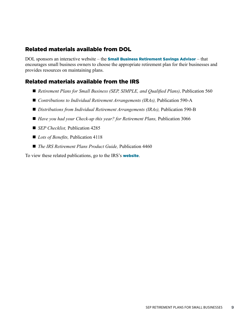## Related materials available from DOL

DOL sponsors an interactive website – the **[Small Business Retirement Savings Advisor](https://webapps.dol.gov/elaws/ebsaplan.htm)** – that encourages small business owners to choose the appropriate retirement plan for their businesses and provides resources on maintaining plans.

## Related materials available from the IRS

- *Retirement Plans for Small Business (SEP, SIMPLE, and Qualified Plans)*, Publication 560
- *Contributions to Individual Retirement Arrangements (IRAs)*, Publication 590-A
- *Distributions from Individual Retirement Arrangements (IRAs)*, Publication 590-B
- *Have you had your Check-up this year? for Retirement Plans, Publication 3066*
- *SEP Checklist*, Publication 4285
- *Lots of Benefits*, Publication 4118
- *The IRS Retirement Plans Product Guide*, Publication 4460

To view these related publications, go to the IRS's **[website](https://www.irs.gov/retirement-plans/retirement-plan-forms-and-publications)**.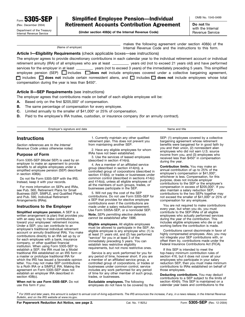5305-SEP (Rev. December 2004)

### Simplified Employee Pension—Individual Retirement Accounts Contribution Agreement

Department of the Treasury **(Under section 408(k) of the Internal Revenue Code)** with the Internal Internal Revenue Service Internal Revenue Service

OMB No. 1545-0499 **Do not** file

makes the following agreement under section 408(k) of the (Name of employer) Internal Revenue Code and the instructions to this form.

#### **Article I—Eligibility Requirements** (check applicable boxes—see instructions)

employee pension (SEP) **dia divides does not** include employees covered under a collective bargaining agreement, □ includes □ does not include certain nonresident aliens, and □ includes □ does not include employees whose total The employer agrees to provide discretionary contributions in each calendar year to the individual retirement account or individual retirement annuity (IRA) of all employees who are at least \_\_\_\_\_\_\_\_\_\_\_ years old (not to exceed 21 years old) and have performed services for the employer in at least \_\_\_\_\_\_\_\_\_ years (not to exceed 3 years) of the immediately preceding 5 years. This simplified compensation during the year is less than \$450\*.

#### **Article II—SEP Requirements** (see instructions)

The employer agrees that contributions made on behalf of each eligible employee will be:

- **A.** Based only on the first \$205,000\* of compensation.
- **B.** The same percentage of compensation for every employee.
- **C.** Limited annually to the smaller of \$41,000\* or 25% of compensation.
- **D.** Paid to the employee's IRA trustee, custodian, or insurance company (for an annuity contract).

Employer's signature and date Name and title Name and title

#### **Instructions**

*Section references are to the Internal Revenue Code unless otherwise noted.* 

#### **Purpose of Form**

Form 5305-SEP (Model SEP) is used by an employer to make an agreement to provide benefits to all eligible employees under a simplified employee pension (SEP) described in section 408(k).

Do not file Form 5305-SEP with the IRS. Instead, keep it with your records.

For more information on SEPs and IRAs, see Pub. 560, Retirement Plans for Small Business (SEP, SIMPLE, and Qualified Plans), and Pub. 590, Individual Retirement Arrangements (IRAs).

#### **Instructions to the Employer**

**Simplified employee pension.** A SEP is a written arrangement (a plan) that provides you with an easy way to make contributions toward your employees' retirement income. Under a SEP, you can contribute to an employee's traditional individual retirement account or annuity (traditional IRA). You make contributions directly to an IRA set up by or for each employee with a bank, insurance company, or other qualified financial institution. When using Form 5305-SEP to establish a SEP, the IRA must be a Model traditional IRA established on an IRS form or a master or prototype traditional IRA for which the IRS has issued a favorable opinion letter. You may not make SEP contributions to a Roth IRA or a SIMPLE IRA. Making the agreement on Form 5305-SEP does not establish an employer IRA described in section 408(c).

**When not to use Form 5305-SEP.** Do not use this form if you:

1. Currently maintain any other qualified retirement plan. This does not prevent you from maintaining another SEP.

2. Have any eligible employees for whom IRAs have not been established.

3. Use the services of leased employees (described in section 414(n)).

4. Are a member of an affiliated service group (described in section 414(m)), a controlled group of corporations (described in section 414(b)), or trades or businesses under common control (described in sections 414(c) and 414(o)), unless all eligible employees of all the members of such groups, trades, or businesses participate in the SEP.

5. Will not pay the cost of the SEP contributions. Do not use Form 5305-SEP for a SEP that provides for elective employee contributions even if the contributions are made under a salary reduction agreement. Use Form 5305A-SEP, or a nonmodel SEP.

**Note.** *SEPs permitting elective deferrals cannot be established after 1996.* 

**Eligible employees.** All eligible employees must be allowed to participate in the SEP. An eligible employee is any employee who: (1) is at least 21 years old, and (2) has performed "service" for you in at least 3 of the immediately preceding 5 years. You can establish less restrictive eligibility requirements, but not more restrictive ones.

Service is any work performed for you for any period of time, however short. If you are a member of an affiliated service group, a controlled group of corporations, or trades or businesses under common control, service includes any work performed for any period of time for any other member of such group, trades, or businesses.

**Excludable employees.** The following employees do not have to be covered by the SEP: (1) employees covered by a collective bargaining agreement whose retirement benefits were bargained for in good faith by you and their union, (2) nonresident alien employees who did not earn U.S. source income from you, and (3) employees who received less than \$450\* in compensation during the year.

**Contribution limits.** You may make an annual contribution of up to 25% of the employee's compensation or \$41,000\* whichever is less. Compensation, for this purpose, does not include employer contributions to the SEP or the employee's compensation in excess of \$205,000\*. If you also maintain a salary reduction SEP, contributions to the two SEPs together may not exceed the smaller of \$41,000\* or 25% of compensation for any employee.

You are not required to make contributions every year, but when you do, you must contribute to the SEP-IRAs of all eligible employees who actually performed services during the year of the contribution. This includes eligible employees who die or quit working before the contribution is made.

Contributions cannot discriminate in favor of highly compensated employees. Also, you may not integrate your SEP contributions with, or offset them by, contributions made under the Federal Insurance Contributions Act (FICA).

If this SEP is intended to meet the top-heavy minimum contribution rules of section 416, but it does not cover all your employees who participate in your salary reduction SEP, then you must make minimum contributions to IRAs established on behalf of those employees.

**Deducting contributions.** You may deduct contributions to a SEP subject to the limits of section 404(h). This SEP is maintained on a calendar year basis and contributions to the

*<sup>\*</sup> For 2005 and later years, this amount is subject to annual cost-of-living adjustments. The IRS announces the increase, if any, in a news release, in the Internal Revenue Bulletin, and on the IRS website at* [www.irs.gov](http:www.irs.gov).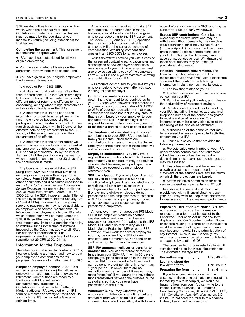SEP are deductible for your tax year with or within which the calendar year ends. Contributions made for a particular tax year must be made by the due date of your income tax return (including extensions) for that tax year.

**Completing the agreement.** This agreement is considered adopted when:

• IRAs have been established for all your eligible employees;

• You have completed all blanks on the agreement form without modification; and

• You have given all your eligible employees the following information:

1. A copy of Form 5305-SEP.

2. A statement that traditional IRAs other than the traditional IRAs into which employer SEP contributions will be made may provide different rates of return and different terms concerning, among other things, transfers and withdrawals of funds from the IRAs.

3. A statement that, in addition to the information provided to an employee at the time the employee becomes eligible to participate, the administrator of the SEP must furnish each participant within 30 days of the effective date of any amendment to the SEP, a copy of the amendment and a written explanation of its effects.

4. A statement that the administrator will give written notification to each participant of any employer contributions made under the SEP to that participant's IRA by the later of January 31 of the year following the year for which a contribution is made or 30 days after the contribution is made.

Employers who have established a SEP using Form 5305-SEP and have furnished each eligible employee with a copy of the completed Form 5305-SEP and provided the other documents and disclosures described in *Instructions to the Employer* and *Information for the Employee,* are not required to file the annual information returns, Forms 5500 or 5500-EZ for the SEP. However, under Title I of the Employee Retirement Income Security Act of 1974 (ERISA), this relief from the annual reporting requirements may not be available to an employer who selects, recommends, or influences its employees to choose IRAs into which contributions will be made under the SEP, if those IRAs are subject to provisions that impose any limits on a participant's ability to withdraw funds (other than restrictions imposed by the Code that apply to all IRAs). For additional information on Title I requirements, see the Department of Labor regulation at 29 CFR 2520.104-48.

#### **Information for the Employee**

The information below explains what a SEP is, how contributions are made, and how to treat your employer's contributions for tax purposes. For more information, see Pub. 590.

**Simplified employee pension.** A SEP is a written arrangement (a plan) that allows an employer to make contributions toward your retirement. Contributions are made to a traditional individual retirement account/annuity (traditional IRA). Contributions must be made to either a Model traditional IRA executed on an IRS form or a master or prototype traditional IRA for which the IRS has issued a favorable opinion letter.

An employer is not required to make SEP contributions. If a contribution is made, however, it must be allocated to all eligible employees according to the SEP agreement. The Model SEP (Form 5305-SEP) specifies that the contribution for each eligible employee will be the same percentage of compensation (excluding compensation greater than \$205,000\*) for all employees.

Your employer will provide you with a copy of the agreement containing participation rules and a description of how employer contributions may be made to your IRA. Your employer must also provide you with a copy of the completed Form 5305-SEP and a yearly statement showing any contributions to your IRA.

All amounts contributed to your IRA by your employer belong to you even after you stop working for that employer.

**Contribution limits.** Your employer will determine the amount to be contributed to your IRA each year. However, the amount for any year is limited to the smaller of \$41,000\* or 25% of your compensation for that year. Compensation does not include any amount that is contributed by your employer to your IRA under the SEP. Your employer is not required to make contributions every year or to maintain a particular level of contributions.

**Tax treatment of contributions.** Employer contributions to your SEP-IRA are excluded from your income unless there are contributions in excess of the applicable limit. Employer contributions within these limits will not be included on your Form W-2.

**Employee contributions.** You may make regular IRA contributions to an IRA. However, the amount you can deduct may be reduced or eliminated because, as a participant in a SEP, you are covered by an employer retirement plan.

**SEP participation.** If your employer does not require you to participate in a SEP as a condition of employment, and you elect not to participate, all other employees of your employer may be prohibited from participating. If one or more eligible employees do not participate and the employer tries to establish a SEP for the remaining employees, it could cause adverse tax consequences for the participating employees.

An employer may not adopt this IRS Model SEP if the employer maintains another qualified retirement plan. This does not prevent your employer from adopting this IRS Model SEP and also maintaining an IRS Model Salary Reduction SEP or other SEP. However, if you work for several employers, you may be covered by a SEP of one employer and a different SEP or pension or profit-sharing plan of another employer.

**SEP-IRA amounts—rollover or transfer to another IRA.** You can withdraw or receive funds from your SEP-IRA if, within 60 days of receipt, you place those funds in the same or another IRA. This is called a "rollover" and can be done without penalty only once in any 1-year period. However, there are no restrictions on the number of times you may make "transfers" if you arrange to have these funds transferred between the trustees or the custodians so that you never have possession of the funds.

**Withdrawals.** You may withdraw your employer's contribution at any time, but any amount withdrawn is includible in your income unless rolled over. Also, if withdrawals occur before you reach age 591⁄2, you may be subject to a tax on early withdrawal.

**Excess SEP contributions.** Contributions exceeding the yearly limitations may be withdrawn without penalty by the due date (plus extensions) for filing your tax return (normally April 15), but are includible in your gross income. Excess contributions left in your SEP-IRA after that time may have adverse tax consequences. Withdrawals of those contributions may be taxed as premature withdrawals.

**Financial institution requirements.** The financial institution where your IRA is maintained must provide you with a disclosure statement that contains the following information in plain, nontechnical language:

1. The law that relates to your IRA.

2. The tax consequences of various options concerning your IRA.

3. Participation eligibility rules, and rules on the deductibility of retirement savings.

4. Situations and procedures for revoking your IRA, including the name, address, and telephone number of the person designated to receive notice of revocation. This information must be clearly displayed at the beginning of the disclosure statement.

5. A discussion of the penalties that may be assessed because of prohibited activities concerning your IRA.

6. Financial disclosure that provides the following information:

a. Projects value growth rates of your IRA under various contribution and retirement schedules, or describes the method of determining annual earnings and charges that may be assessed.

b. Describes whether, and for when, the growth projections are guaranteed, or a statement of the earnings rate and the terms on which the projections are based.

c. States the sales commission for each year expressed as a percentage of \$1,000.

In addition, the financial institution must provide you with a financial statement each year. You may want to keep these statements to evaluate your IRA's investment performance.

**Paperwork Reduction Act Notice.** You are not required to provide the information requested on a form that is subject to the Paperwork Reduction Act unless the form displays a valid OMB control number. Books or records relating to a form or its instructions must be retained as long as their contents may become material in the administration of any Internal Revenue law. Generally, tax returns and return information are confidential, as required by section 6103.

The time needed to complete this form will vary depending on individual circumstances. The estimated average time is:

| Recordkeeping<br><b>Contract Contract Contract</b> |  |                                   | 1 hr., 40 min. |
|----------------------------------------------------|--|-----------------------------------|----------------|
| Learning about the                                 |  |                                   |                |
| law or the form                                    |  |                                   | 1 hr., 35 min. |
| Preparing the form                                 |  | <b>Contract Contract Contract</b> | 1 hr., 41 min. |

If you have comments concerning the accuracy of these time estimates or suggestions for making this form simpler, we would be happy to hear from you. You can write to the Internal Revenue Service, Tax Products Coordinating Committee, SE:W:CAR:MP:T:T:SP, 1111 Constitution Ave. NW, Washington, DC 20224. Do not send this form to this address. Instead, keep it with your records.